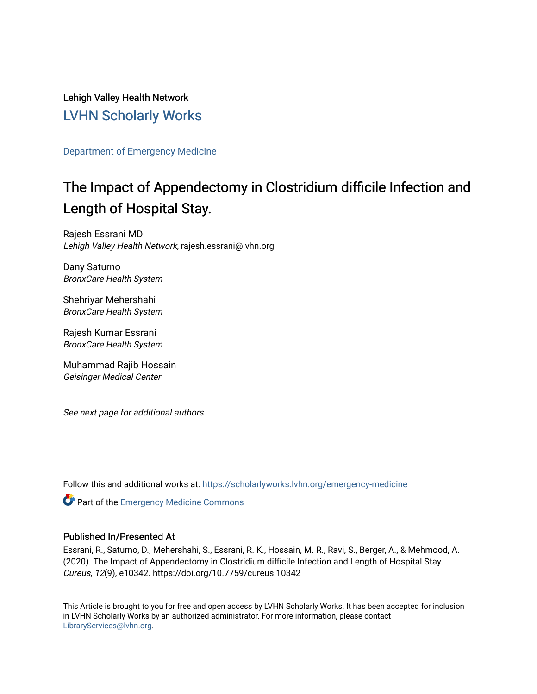# Lehigh Valley Health Network [LVHN Scholarly Works](https://scholarlyworks.lvhn.org/)

# [Department of Emergency Medicine](https://scholarlyworks.lvhn.org/emergency-medicine)

# The Impact of Appendectomy in Clostridium difficile Infection and Length of Hospital Stay.

Rajesh Essrani MD Lehigh Valley Health Network, rajesh.essrani@lvhn.org

Dany Saturno BronxCare Health System

Shehriyar Mehershahi BronxCare Health System

Rajesh Kumar Essrani BronxCare Health System

Muhammad Rajib Hossain Geisinger Medical Center

See next page for additional authors

Follow this and additional works at: [https://scholarlyworks.lvhn.org/emergency-medicine](https://scholarlyworks.lvhn.org/emergency-medicine?utm_source=scholarlyworks.lvhn.org%2Femergency-medicine%2F707&utm_medium=PDF&utm_campaign=PDFCoverPages) 

**Part of the [Emergency Medicine Commons](https://network.bepress.com/hgg/discipline/685?utm_source=scholarlyworks.lvhn.org%2Femergency-medicine%2F707&utm_medium=PDF&utm_campaign=PDFCoverPages)** 

# Published In/Presented At

Essrani, R., Saturno, D., Mehershahi, S., Essrani, R. K., Hossain, M. R., Ravi, S., Berger, A., & Mehmood, A. (2020). The Impact of Appendectomy in Clostridium difficile Infection and Length of Hospital Stay. Cureus, 12(9), e10342. https://doi.org/10.7759/cureus.10342

This Article is brought to you for free and open access by LVHN Scholarly Works. It has been accepted for inclusion in LVHN Scholarly Works by an authorized administrator. For more information, please contact [LibraryServices@lvhn.org](mailto:LibraryServices@lvhn.org).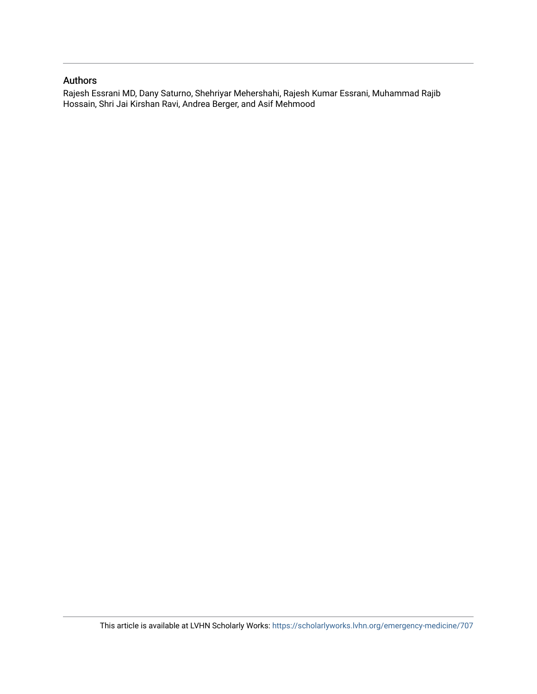# Authors

Rajesh Essrani MD, Dany Saturno, Shehriyar Mehershahi, Rajesh Kumar Essrani, Muhammad Rajib Hossain, Shri Jai Kirshan Ravi, Andrea Berger, and Asif Mehmood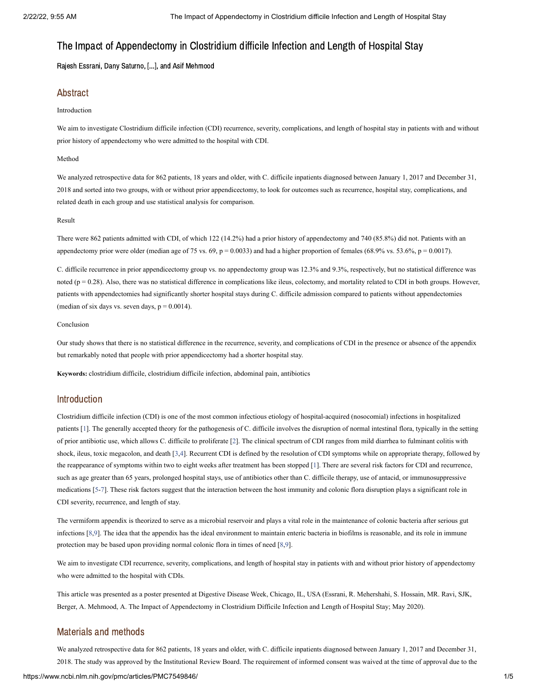# The Impact of Appendectomy in Clostridium difficile Infection and Length of Hospital Stay

Rajesh Essrani, Dany Saturno, [...], and Asif Mehmood

# Abstract

#### Introduction

We aim to investigate Clostridium difficile infection (CDI) recurrence, severity, complications, and length of hospital stay in patients with and without prior history of appendectomy who were admitted to the hospital with CDI.

#### Method

We analyzed retrospective data for 862 patients, 18 years and older, with C. difficile inpatients diagnosed between January 1, 2017 and December 31, 2018 and sorted into two groups, with or without prior appendicectomy, to look for outcomes such as recurrence, hospital stay, complications, and related death in each group and use statistical analysis for comparison.

#### Result

There were 862 patients admitted with CDI, of which 122 (14.2%) had a prior history of appendectomy and 740 (85.8%) did not. Patients with an appendectomy prior were older (median age of 75 vs. 69,  $p = 0.0033$ ) and had a higher proportion of females (68.9% vs. 53.6%,  $p = 0.0017$ ).

C. difficile recurrence in prior appendicectomy group vs. no appendectomy group was 12.3% and 9.3%, respectively, but no statistical difference was noted ( $p = 0.28$ ). Also, there was no statistical difference in complications like ileus, colectomy, and mortality related to CDI in both groups. However, patients with appendectomies had significantly shorter hospital stays during C. difficile admission compared to patients without appendectomies (median of six days vs. seven days,  $p = 0.0014$ ).

#### Conclusion

Our study shows that there is no statistical difference in the recurrence, severity, and complications of CDI in the presence or absence of the appendix but remarkably noted that people with prior appendicectomy had a shorter hospital stay.

**Keywords:** clostridium difficile, clostridium difficile infection, abdominal pain, antibiotics

# Introduction

Clostridium difficile infection (CDI) is one of the most common infectious etiology of hospital-acquired (nosocomial) infections in hospitalized patients [\[1\]](#page-5-0). The generally accepted theory for the pathogenesis of C. difficile involves the disruption of normal intestinal flora, typically in the setting of prior antibiotic use, which allows C. difficile to proliferate [\[2](#page-5-1)]. The clinical spectrum of CDI ranges from mild diarrhea to fulminant colitis with shock, ileus, toxic megacolon, and death [\[3](#page-5-2)[,4](#page-5-3)]. Recurrent CDI is defined by the resolution of CDI symptoms while on appropriate therapy, followed by the reappearance of symptoms within two to eight weeks after treatment has been stopped [[1](#page-5-0)]. There are several risk factors for CDI and recurrence, such as age greater than 65 years, prolonged hospital stays, use of antibiotics other than C. difficile therapy, use of antacid, or immunosuppressive medications [\[5](#page-5-4)-[7\]](#page-5-5). These risk factors suggest that the interaction between the host immunity and colonic flora disruption plays a significant role in CDI severity, recurrence, and length of stay.

The vermiform appendix is theorized to serve as a microbial reservoir and plays a vital role in the maintenance of colonic bacteria after serious gut infections [\[8,](#page-5-6)[9\]](#page-5-7). The idea that the appendix has the ideal environment to maintain enteric bacteria in biofilms is reasonable, and its role in immune protection may be based upon providing normal colonic flora in times of need [\[8](#page-5-6)[,9](#page-5-7)].

We aim to investigate CDI recurrence, severity, complications, and length of hospital stay in patients with and without prior history of appendectomy who were admitted to the hospital with CDIs.

This article was presented as a poster presented at Digestive Disease Week, Chicago, IL, USA (Essrani, R. Mehershahi, S. Hossain, MR. Ravi, SJK, Berger, A. Mehmood, A. The Impact of Appendectomy in Clostridium Difficile Infection and Length of Hospital Stay; May 2020).

# Materials and methods

We analyzed retrospective data for 862 patients, 18 years and older, with C. difficile inpatients diagnosed between January 1, 2017 and December 31, 2018. The study was approved by the Institutional Review Board. The requirement of informed consent was waived at the time of approval due to the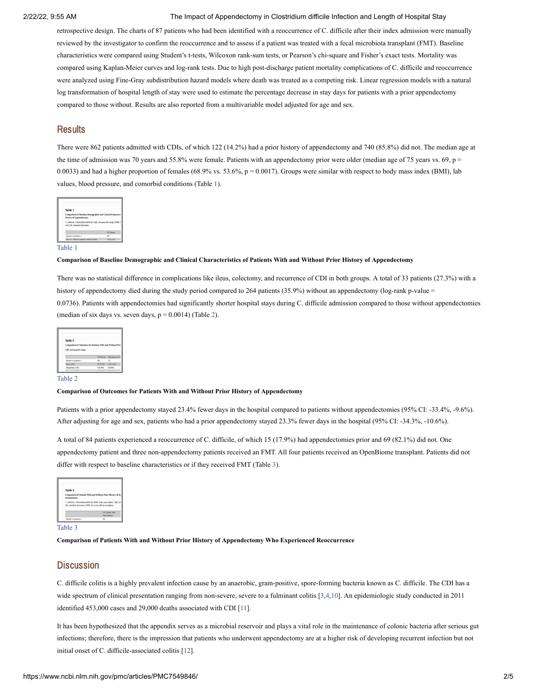#### 2/22/22, 9:55 AM The Impact of Appendectomy in Clostridium difficile Infection and Length of Hospital Stay

retrospective design. The charts of 87 patients who had been identified with a reoccurrence of C. difficile after their index admission were manually reviewed by the investigator to confirm the reoccurrence and to assess if a patient was treated with a fecal microbiota transplant (FMT). Baseline characteristics were compared using Student's t-tests, Wilcoxon rank-sum tests, or Pearson's chi-square and Fisher's exact tests. Mortality was compared using Kaplan-Meier curves and log-rank tests. Due to high post-discharge patient mortality complications of C. difficile and reoccurrence were analyzed using Fine-Gray subdistribution hazard models where death was treated as a competing risk. Linear regression models with a natural log transformation of hospital length of stay were used to estimate the percentage decrease in stay days for patients with a prior appendectomy compared to those without. Results are also reported from a multivariable model adjusted for age and sex.

# **Results**

There were 862 patients admitted with CDIs, of which 122 (14.2%) had a prior history of appendectomy and 740 (85.8%) did not. The median age at the time of admission was 70 years and 55.8% were female. Patients with an appendectomy prior were older (median age of 75 years vs. 69, p = 0.0033) and had a higher proportion of females (68.9% vs. 53.6%,  $p = 0.0017$ ). Groups were similar with respect to body mass index (BMI), lab values, blood pressure, and comorbid conditions [\(Table](https://www.ncbi.nlm.nih.gov/pmc/articles/PMC7549846/table/TAB1/?report=objectonly) 1).

| Table 1                                                                                               |              |
|-------------------------------------------------------------------------------------------------------|--------------|
| Comparison of Baseline Demographic and Clinical Character<br><b>History of Appendectomy</b>           |              |
|                                                                                                       |              |
| C. difficile, Clostridium difficile; IQR, interquartile range; BML b<br>cell; SD, standard deviation. |              |
|                                                                                                       | All Patients |
| Number of patients, n                                                                                 |              |

#### [Table](https://www.ncbi.nlm.nih.gov/pmc/articles/PMC7549846/table/TAB1/?report=objectonly) 1

#### Comparison of Baseline Demographic and Clinical Characteristics of Patients With and Without Prior History of Appendectomy

There was no statistical difference in complications like ileus, colectomy, and recurrence of CDI in both groups. A total of 33 patients (27.3%) with a history of appendectomy died during the study period compared to 264 patients (35.9%) without an appendectomy (log-rank p-value = 0.0736). Patients with appendectomies had significantly shorter hospital stays during C. difficile admission compared to those without appendectomies (median of six days vs. seven days,  $p = 0.0014$ ) (Table [2](https://www.ncbi.nlm.nih.gov/pmc/articles/PMC7549846/table/TAB2/?report=objectonly)).

| Table 2                                                   |           |                              |
|-----------------------------------------------------------|-----------|------------------------------|
|                                                           |           |                              |
| Comparison of Outcomes for Patients With and Without Prin |           |                              |
| IOR, interquartile range.                                 |           |                              |
|                                                           |           |                              |
|                                                           |           |                              |
|                                                           |           |                              |
|                                                           |           | All Patients Appendectorsy B |
| Number of patients, n                                     | BC        | 122                          |
| Dept. n (%)                                               | 84 (9.7%) | 14 (11.5%)                   |
| Megacolon, a (%)                                          | 0.49.0% 1 | 0.13.0%)                     |

#### [Table](https://www.ncbi.nlm.nih.gov/pmc/articles/PMC7549846/table/TAB2/?report=objectonly) 2

### **Comparison of Outcomes for Patients With and Without Prior History of Appendectomy**

Patients with a prior appendectomy stayed 23.4% fewer days in the hospital compared to patients without appendectomies (95% CI: -33.4%, -9.6%). After adjusting for age and sex, patients who had a prior appendectomy stayed 23.3% fewer days in the hospital (95% CI: -34.3%, -10.6%).

A total of 84 patients experienced a reoccurrence of C. difficile, of which 15 (17.9%) had appendectomies prior and 69 (82.1%) did not. One appendectomy patient and three non-appendectomy patients received an FMT. All four patients received an OpenBiome transplant. Patients did not differ with respect to baseline characteristics or if they received FMT (Table [3\)](https://www.ncbi.nlm.nih.gov/pmc/articles/PMC7549846/table/TAB3/?report=objectonly).



#### [Table](https://www.ncbi.nlm.nih.gov/pmc/articles/PMC7549846/table/TAB3/?report=objectonly) 3

**Comparison of Patients With and Without Prior History of Appendectomy Who Experienced Reoccurrence**

# **Discussion**

C. difficile colitis is a highly prevalent infection cause by an anaerobic, gram-positive, spore-forming bacteria known as C. difficile. The CDI has a wide spectrum of clinical presentation ranging from non-severe, severe to a fulminant colitis [[3,](#page-5-2)[4,](#page-5-3)[10](#page-5-8)]. An epidemiologic study conducted in 2011 identified 453,000 cases and 29,000 deaths associated with CDI [[11\]](#page-6-0).

It has been hypothesized that the appendix serves as a microbial reservoir and plays a vital role in the maintenance of colonic bacteria after serious gut infections; therefore, there is the impression that patients who underwent appendectomy are at a higher risk of developing recurrent infection but not initial onset of C. difficile-associated colitis [[12](#page-6-1)].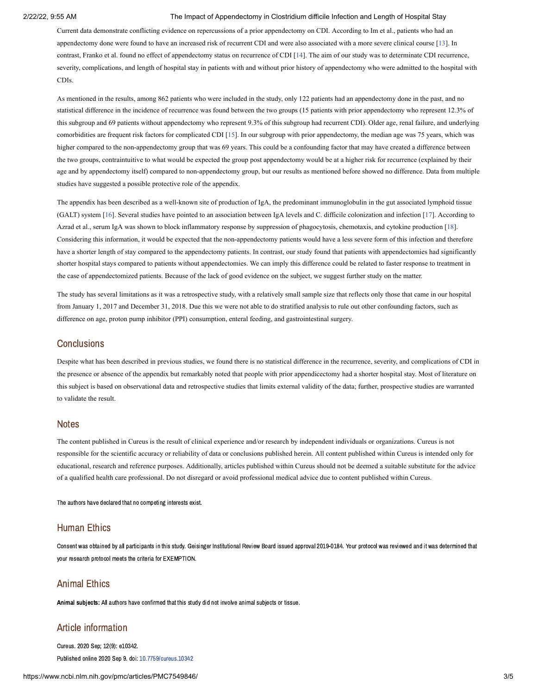#### 2/22/22, 9:55 AM The Impact of Appendectomy in Clostridium difficile Infection and Length of Hospital Stay

Current data demonstrate conflicting evidence on repercussions of a prior appendectomy on CDI. According to Im et al., patients who had an appendectomy done were found to have an increased risk of recurrent CDI and were also associated with a more severe clinical course [\[13](#page-6-2)]. In contrast, Franko et al. found no effect of appendectomy status on recurrence of CDI [\[14\]](#page-6-3). The aim of our study was to determinate CDI recurrence, severity, complications, and length of hospital stay in patients with and without prior history of appendectomy who were admitted to the hospital with CDIs.

As mentioned in the results, among 862 patients who were included in the study, only 122 patients had an appendectomy done in the past, and no statistical difference in the incidence of recurrence was found between the two groups (15 patients with prior appendectomy who represent 12.3% of this subgroup and 69 patients without appendectomy who represent 9.3% of this subgroup had recurrent CDI). Older age, renal failure, and underlying comorbidities are frequent risk factors for complicated CDI [[15\]](#page-6-4). In our subgroup with prior appendectomy, the median age was 75 years, which was higher compared to the non-appendectomy group that was 69 years. This could be a confounding factor that may have created a difference between the two groups, contraintuitive to what would be expected the group post appendectomy would be at a higher risk for recurrence (explained by their age and by appendectomy itself) compared to non-appendectomy group, but our results as mentioned before showed no difference. Data from multiple studies have suggested a possible protective role of the appendix.

The appendix has been described as a well-known site of production of IgA, the predominant immunoglobulin in the gut associated lymphoid tissue (GALT) system [[16\]](#page-6-5). Several studies have pointed to an association between IgA levels and C. difficile colonization and infection [[17](#page-6-6)]. According to Azrad et al., serum IgA was shown to block inflammatory response by suppression of phagocytosis, chemotaxis, and cytokine production [[18\]](#page-6-7). Considering this information, it would be expected that the non-appendectomy patients would have a less severe form of this infection and therefore have a shorter length of stay compared to the appendectomy patients. In contrast, our study found that patients with appendectomies had significantly shorter hospital stays compared to patients without appendectomies. We can imply this difference could be related to faster response to treatment in the case of appendectomized patients. Because of the lack of good evidence on the subject, we suggest further study on the matter.

The study has several limitations as it was a retrospective study, with a relatively small sample size that reflects only those that came in our hospital from January 1, 2017 and December 31, 2018. Due this we were not able to do stratified analysis to rule out other confounding factors, such as difference on age, proton pump inhibitor (PPI) consumption, enteral feeding, and gastrointestinal surgery.

# **Conclusions**

Despite what has been described in previous studies, we found there is no statistical difference in the recurrence, severity, and complications of CDI in the presence or absence of the appendix but remarkably noted that people with prior appendicectomy had a shorter hospital stay. Most of literature on this subject is based on observational data and retrospective studies that limits external validity of the data; further, prospective studies are warranted to validate the result.

## **Notes**

The content published in Cureus is the result of clinical experience and/or research by independent individuals or organizations. Cureus is not responsible for the scientific accuracy or reliability of data or conclusions published herein. All content published within Cureus is intended only for educational, research and reference purposes. Additionally, articles published within Cureus should not be deemed a suitable substitute for the advice of a qualified health care professional. Do not disregard or avoid professional medical advice due to content published within Cureus.

The authors have declared that no competing interests exist.

# Human Ethics

Consent was obtained by all participants in this study. Geisinger Institutional Review Board issued approval 2019-0184. Your protocol was reviewed and it was determined that your research protocol meets the criteria for EXEMPTION.

# Animal Ethics

Animal subjects: All authors have confirmed that this study did not involve animal subjects or tissue.

# Article information

Cureus. 2020 Sep; 12(9): e10342. Published online 2020 Sep 9. doi: [10.7759/cureus.10342](https://dx.doi.org/10.7759%2Fcureus.10342)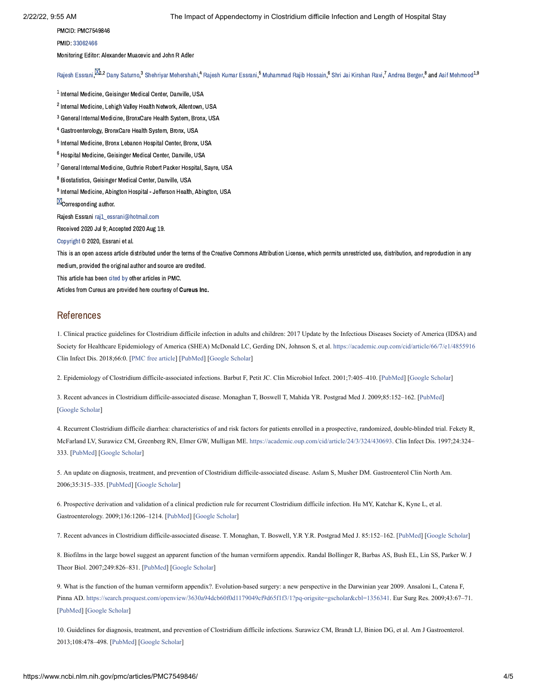#### PMCID: PMC7549846

#### PMID: [33062466](https://www.ncbi.nlm.nih.gov/pubmed/33062466)

Monitoring Editor: Alexander Muacevic and John R Adler

Rajesh [Essrani,](https://www.ncbi.nlm.nih.gov/pubmed/?term=Essrani%20RK%5BAuthor%5D&cauthor=true&cauthor_uid=33062466) <sup>DCh</sup>,2 Dany [Saturno,](https://www.ncbi.nlm.nih.gov/pubmed/?term=Saturno%20D%5BAuthor%5D&cauthor=true&cauthor_uid=33062466)<sup>3</sup> Shehriyar [Mehershahi](https://www.ncbi.nlm.nih.gov/pubmed/?term=Mehershahi%20S%5BAuthor%5D&cauthor=true&cauthor_uid=33062466),<sup>4</sup> Rajesh Kumar Essrani,<sup>5</sup> [Muhammad](https://www.ncbi.nlm.nih.gov/pubmed/?term=Hossain%20MR%5BAuthor%5D&cauthor=true&cauthor_uid=33062466) Rajib Hossain,<sup>6</sup> Shri Jai [Kirshan](https://www.ncbi.nlm.nih.gov/pubmed/?term=Ravi%20SJ%5BAuthor%5D&cauthor=true&cauthor_uid=33062466) Ravi,<sup>7</sup> [Andrea](https://www.ncbi.nlm.nih.gov/pubmed/?term=Berger%20A%5BAuthor%5D&cauthor=true&cauthor_uid=33062466) Berger,<sup>8</sup> and Asif [Mehmood](https://www.ncbi.nlm.nih.gov/pubmed/?term=Mehmood%20A%5BAuthor%5D&cauthor=true&cauthor_uid=33062466)<sup>1,9</sup>

 $^{\text{1}}$  Internal Medicine, Geisinger Medical Center, Danville, USA  $^2$  Internal Medicine, Lehigh Valley Health Network, Allentown, USA <sup>3</sup> General Internal Medicine, BronxCare Health System, Bronx, USA <sup>4</sup> Gastroenterology, BronxCare Health System, Bronx, USA  $^5$  Internal Medicine, Bronx Lebanon Hospital Center, Bronx, USA  $^6$  Hospital Medicine, Geisinger Medical Center, Danville, USA  $^7$  General Internal Medicine, Guthrie Robert Packer Hospital, Savre, USA <sup>8</sup> Biostatistics, Geisinger Medical Center, Danville, USA  $^9$  Internal Medicine, Abington Hospital - Jefferson Health, Abington, USA  $\boxtimes$ Corresponding author. Rajesh Essrani [raj1\\_essrani@hotmail.com](mailto:dev@null) Received 2020 Jul 9; Accepted 2020 Aug 19. [Copyright](https://www.ncbi.nlm.nih.gov/pmc/about/copyright/) © 2020, Essrani et al.

This is an open access article distributed under the terms of the Creative Commons Attribution License, which permits unrestricted use, distribution, and reproduction in any medium, provided the original author and source are credited.

This article has been [cited](https://www.ncbi.nlm.nih.gov/pmc/articles/PMC7549846/citedby/) by other articles in PMC.

Articles from Cureus are provided here courtesy of Cureus Inc.

# References

<span id="page-5-0"></span>1. Clinical practice guidelines for Clostridium difficile infection in adults and children: 2017 Update by the Infectious Diseases Society of America (IDSA) and Society for Healthcare Epidemiology of America (SHEA) McDonald LC, Gerding DN, Johnson S, et al. <https://academic.oup.com/cid/article/66/7/e1/4855916> Clin Infect Dis. 2018;66:0. [[PMC free article\]](https://www.ncbi.nlm.nih.gov/pmc/articles/PMC6018983/?report=reader) [[PubMed](https://www.ncbi.nlm.nih.gov/pubmed/29462280)] [\[Google Scholar\]](https://scholar.google.com/scholar_lookup?journal=Clin+Infect+Dis&title=Clinical+practice+guidelines+for+Clostridium+difficile+infection+in+adults+and+children:+2017+Update+by+the+Infectious+Diseases+Society+of+America+(IDSA)+and+Society+for+Healthcare+Epidemiology+of+America+(SHEA)&volume=66&publication_year=2018&pages=0&)

<span id="page-5-1"></span>2. Epidemiology of Clostridium difficile-associated infections. Barbut F, Petit JC. Clin Microbiol Infect. 2001;7:405–410. [\[PubMed](https://www.ncbi.nlm.nih.gov/pubmed/11591202)] [\[Google Scholar](https://scholar.google.com/scholar_lookup?journal=Clin+Microbiol+Infect&title=Epidemiology+of+Clostridium+difficile-associated+infections&volume=7&publication_year=2001&pages=405-410&pmid=11591202&)]

<span id="page-5-2"></span>3. Recent advances in Clostridium difficile-associated disease. Monaghan T, Boswell T, Mahida YR. Postgrad Med J. 2009;85:152–162. [[PubMed](https://www.ncbi.nlm.nih.gov/pubmed/19351643)] [\[Google Scholar](https://scholar.google.com/scholar_lookup?journal=Postgrad+Med+J&title=Recent+advances+in+Clostridium+difficile-associated+disease&volume=85&publication_year=2009&pages=152-162&pmid=19351643&)]

<span id="page-5-3"></span>4. Recurrent Clostridium difficile diarrhea: characteristics of and risk factors for patients enrolled in a prospective, randomized, double-blinded trial. Fekety R, McFarland LV, Surawicz CM, Greenberg RN, Elmer GW, Mulligan ME. [https://academic.oup.com/cid/article/24/3/324/430693.](https://academic.oup.com/cid/article/24/3/324/430693) Clin Infect Dis. 1997;24:324– 333. [\[PubMed\]](https://www.ncbi.nlm.nih.gov/pubmed/9114180) [\[Google Scholar\]](https://scholar.google.com/scholar_lookup?journal=Clin+Infect+Dis&title=Recurrent+Clostridium+difficile+diarrhea:+characteristics+of+and+risk+factors+for+patients+enrolled+in+a+prospective,+randomized,+double-blinded+trial&volume=24&publication_year=1997&pages=324-333&pmid=9114180&)

<span id="page-5-4"></span>5. An update on diagnosis, treatment, and prevention of Clostridium difficile-associated disease. Aslam S, Musher DM. Gastroenterol Clin North Am. 2006;35:315–335. [\[PubMed\]](https://www.ncbi.nlm.nih.gov/pubmed/16880068) [\[Google Scholar](https://scholar.google.com/scholar_lookup?journal=Gastroenterol+Clin+North+Am&title=An+update+on+diagnosis,+treatment,+and+prevention+of+Clostridium+difficile-associated+disease&volume=35&publication_year=2006&pages=315-335&pmid=16880068&)]

6. Prospective derivation and validation of a clinical prediction rule for recurrent Clostridium difficile infection. Hu MY, Katchar K, Kyne L, et al. Gastroenterology. 2009;136:1206–1214. [[PubMed](https://www.ncbi.nlm.nih.gov/pubmed/19162027)] [\[Google Scholar\]](https://scholar.google.com/scholar_lookup?journal=Gastroenterology&title=Prospective+derivation+and+validation+of+a+clinical+prediction+rule+for+recurrent+Clostridium+difficile+infection&volume=136&publication_year=2009&pages=1206-1214&pmid=19162027&)

<span id="page-5-5"></span>7. Recent advances in Clostridium difficile-associated disease. T. Monaghan, T. Boswell, Y.R Y.R. Postgrad Med J. 85:152–162. [[PubMed](https://www.ncbi.nlm.nih.gov/pubmed/19351643)] [[Google Scholar\]](https://scholar.google.com/scholar_lookup?journal=Postgrad+Med+J&title=Recent+advances+in+Clostridium+difficile-associated+disease&volume=85&pages=152-162&)

<span id="page-5-6"></span>8. Biofilms in the large bowel suggest an apparent function of the human vermiform appendix. Randal Bollinger R, Barbas AS, Bush EL, Lin SS, Parker W. J Theor Biol. 2007;249:826–831. [\[PubMed\]](https://www.ncbi.nlm.nih.gov/pubmed/17936308) [[Google Scholar\]](https://scholar.google.com/scholar_lookup?journal=J+Theor+Biol&title=Biofilms+in+the+large+bowel+suggest+an+apparent+function+of+the+human+vermiform+appendix&volume=249&publication_year=2007&pages=826-831&pmid=17936308&)

<span id="page-5-7"></span>9. What is the function of the human vermiform appendix?. Evolution-based surgery: a new perspective in the Darwinian year 2009. Ansaloni L, Catena F, Pinna AD. <https://search.proquest.com/openview/3630a94dcb60f0d1179049cf9d65f1f3/1?pq-origsite=gscholar&cbl=1356341>. Eur Surg Res. 2009;43:67–71. [\[PubMed\]](https://www.ncbi.nlm.nih.gov/pubmed/19451721) [[Google Scholar\]](https://scholar.google.com/scholar_lookup?journal=Eur+Surg+Res&title=What+is+the+function+of+the+human+vermiform+appendix?.+Evolution-based+surgery:+a+new+perspective+in+the+Darwinian+year+2009&volume=43&publication_year=2009&pages=67-71&pmid=19451721&)

<span id="page-5-8"></span>10. Guidelines for diagnosis, treatment, and prevention of Clostridium difficile infections. Surawicz CM, Brandt LJ, Binion DG, et al. Am J Gastroenterol. 2013;108:478–498. [[PubMed\]](https://www.ncbi.nlm.nih.gov/pubmed/23439232) [\[Google Scholar](https://scholar.google.com/scholar_lookup?journal=Am+J+Gastroenterol&title=Guidelines+for+diagnosis,+treatment,+and+prevention+of+Clostridium+difficile+infections&volume=108&publication_year=2013&pages=478-498&pmid=23439232&)]